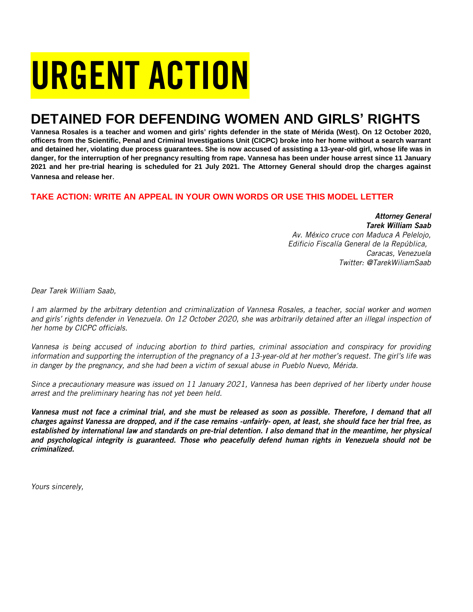# URGENT ACTION

## **DETAINED FOR DEFENDING WOMEN AND GIRLS' RIGHTS**

**Vannesa Rosales is a teacher and women and girls' rights defender in the state of Mérida (West). On 12 October 2020, officers from the Scientific, Penal and Criminal Investigations Unit (CICPC) broke into her home without a search warrant and detained her, violating due process guarantees. She is now accused of assisting a 13-year-old girl, whose life was in danger, for the interruption of her pregnancy resulting from rape. Vannesa has been under house arrest since 11 January 2021 and her pre-trial hearing is scheduled for 21 July 2021. The Attorney General should drop the charges against Vannesa and release her**.

## **TAKE ACTION: WRITE AN APPEAL IN YOUR OWN WORDS OR USE THIS MODEL LETTER**

*Attorney General Tarek William Saab Av. México cruce con Maduca A Pelelojo, Edificio Fiscalía General de la República, Caracas, Venezuela Twitter: @TarekWiliamSaab*

*Dear Tarek William Saab,*

*I am alarmed by the arbitrary detention and criminalization of Vannesa Rosales, a teacher, social worker and women and girls' rights defender in Venezuela. On 12 October 2020, she was arbitrarily detained after an illegal inspection of her home by CICPC officials.* 

*Vannesa is being accused of inducing abortion to third parties, criminal association and conspiracy for providing information and supporting the interruption of the pregnancy of a 13-year-old at her mother's request. The girl's life was in danger by the pregnancy, and she had been a victim of sexual abuse in Pueblo Nuevo, Mérida.*

*Since a precautionary measure was issued on 11 January 2021, Vannesa has been deprived of her liberty under house arrest and the preliminary hearing has not yet been held.*

*Vannesa must not face a criminal trial, and she must be released as soon as possible. Therefore, I demand that all charges against Vanessa are dropped, and if the case remains -unfairly- open, at least, she should face her trial free, as established by international law and standards on pre-trial detention. I also demand that in the meantime, her physical and psychological integrity is guaranteed. Those who peacefully defend human rights in Venezuela should not be criminalized.*

*Yours sincerely,*